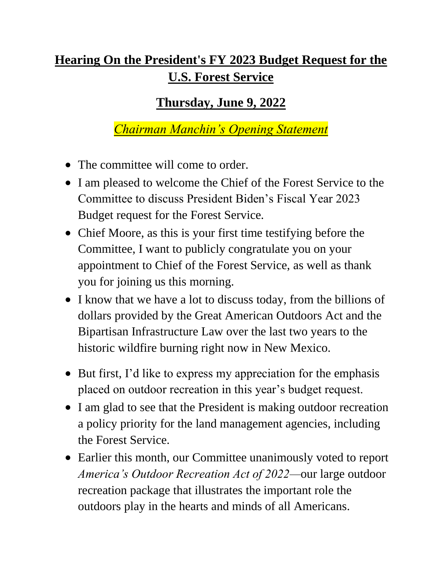## **Hearing On the President's FY 2023 Budget Request for the U.S. Forest Service**

## **Thursday, June 9, 2022**

## *Chairman Manchin's Opening Statement*

- The committee will come to order.
- I am pleased to welcome the Chief of the Forest Service to the Committee to discuss President Biden's Fiscal Year 2023 Budget request for the Forest Service.
- Chief Moore, as this is your first time testifying before the Committee, I want to publicly congratulate you on your appointment to Chief of the Forest Service, as well as thank you for joining us this morning.
- I know that we have a lot to discuss today, from the billions of dollars provided by the Great American Outdoors Act and the Bipartisan Infrastructure Law over the last two years to the historic wildfire burning right now in New Mexico.
- But first, I'd like to express my appreciation for the emphasis placed on outdoor recreation in this year's budget request.
- I am glad to see that the President is making outdoor recreation a policy priority for the land management agencies, including the Forest Service.
- Earlier this month, our Committee unanimously voted to report *America's Outdoor Recreation Act of 2022—*our large outdoor recreation package that illustrates the important role the outdoors play in the hearts and minds of all Americans.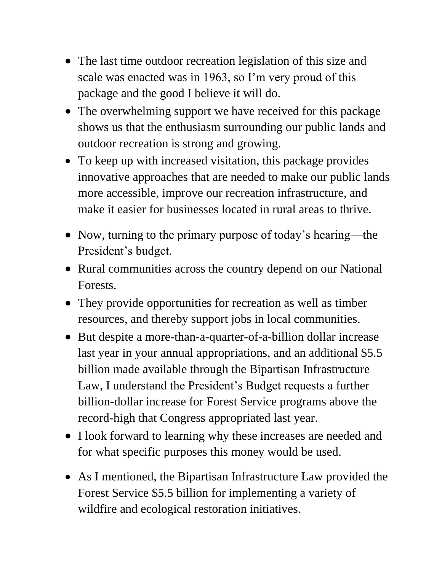- The last time outdoor recreation legislation of this size and scale was enacted was in 1963, so I'm very proud of this package and the good I believe it will do.
- The overwhelming support we have received for this package shows us that the enthusiasm surrounding our public lands and outdoor recreation is strong and growing.
- To keep up with increased visitation, this package provides innovative approaches that are needed to make our public lands more accessible, improve our recreation infrastructure, and make it easier for businesses located in rural areas to thrive.
- Now, turning to the primary purpose of today's hearing—the President's budget.
- Rural communities across the country depend on our National Forests.
- They provide opportunities for recreation as well as timber resources, and thereby support jobs in local communities.
- But despite a more-than-a-quarter-of-a-billion dollar increase last year in your annual appropriations, and an additional \$5.5 billion made available through the Bipartisan Infrastructure Law, I understand the President's Budget requests a further billion-dollar increase for Forest Service programs above the record-high that Congress appropriated last year.
- I look forward to learning why these increases are needed and for what specific purposes this money would be used.
- As I mentioned, the Bipartisan Infrastructure Law provided the Forest Service \$5.5 billion for implementing a variety of wildfire and ecological restoration initiatives.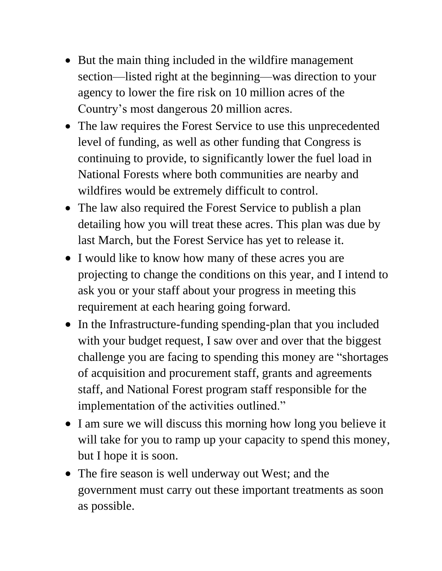- But the main thing included in the wildfire management section—listed right at the beginning—was direction to your agency to lower the fire risk on 10 million acres of the Country's most dangerous 20 million acres.
- The law requires the Forest Service to use this unprecedented level of funding, as well as other funding that Congress is continuing to provide, to significantly lower the fuel load in National Forests where both communities are nearby and wildfires would be extremely difficult to control.
- The law also required the Forest Service to publish a plan detailing how you will treat these acres. This plan was due by last March, but the Forest Service has yet to release it.
- I would like to know how many of these acres you are projecting to change the conditions on this year, and I intend to ask you or your staff about your progress in meeting this requirement at each hearing going forward.
- In the Infrastructure-funding spending-plan that you included with your budget request, I saw over and over that the biggest challenge you are facing to spending this money are "shortages of acquisition and procurement staff, grants and agreements staff, and National Forest program staff responsible for the implementation of the activities outlined."
- I am sure we will discuss this morning how long you believe it will take for you to ramp up your capacity to spend this money, but I hope it is soon.
- The fire season is well underway out West; and the government must carry out these important treatments as soon as possible.